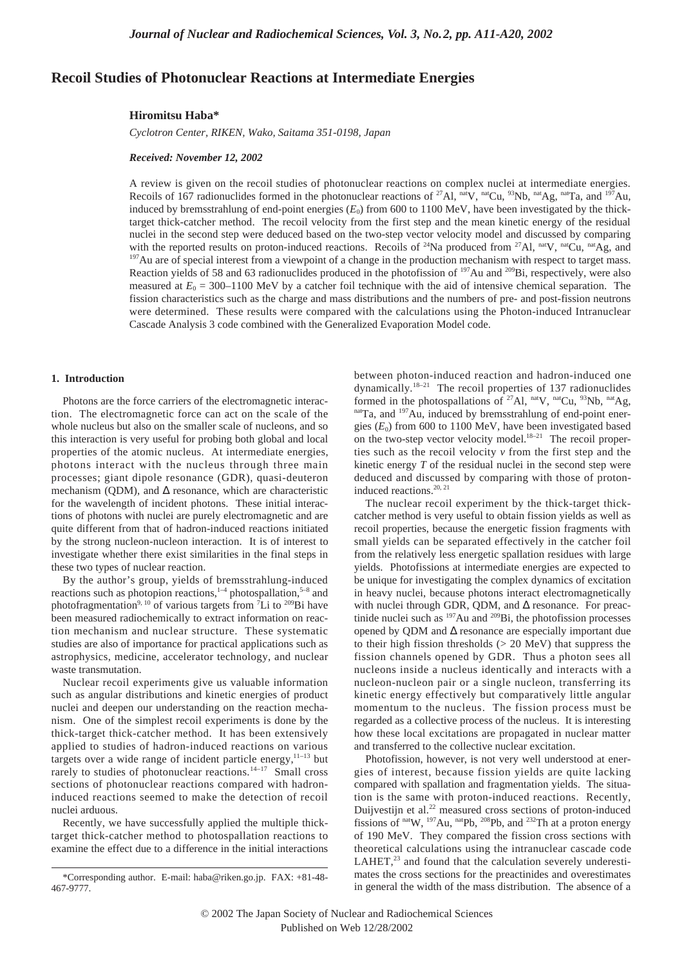# **Recoil Studies of Photonuclear Reactions at Intermediate Energies**

#### **Hiromitsu Haba\***

*Cyclotron Center, RIKEN, Wako, Saitama 351-0198, Japan*

## *Received: November 12, 2002*

A review is given on the recoil studies of photonuclear reactions on complex nuclei at intermediate energies. Recoils of 167 radionuclides formed in the photonuclear reactions of <sup>27</sup>Al, nat<sub>V</sub>, nat<sub>Cu,</sub> 93Nb, natAg, natTa, and <sup>197</sup>Au, induced by bremsstrahlung of end-point energies  $(E_0)$  from 600 to 1100 MeV, have been investigated by the thicktarget thick-catcher method. The recoil velocity from the first step and the mean kinetic energy of the residual nuclei in the second step were deduced based on the two-step vector velocity model and discussed by comparing with the reported results on proton-induced reactions. Recoils of <sup>24</sup>Na produced from <sup>27</sup>Al, nat<sub>V</sub>, nat<sub>Cu,</sub> nat<sub>Ag</sub>, and  $197$ Au are of special interest from a viewpoint of a change in the production mechanism with respect to target mass. Reaction yields of 58 and 63 radionuclides produced in the photofission of <sup>197</sup>Au and <sup>209</sup>Bi, respectively, were also measured at  $E_0 = 300 - 1100$  MeV by a catcher foil technique with the aid of intensive chemical separation. The fission characteristics such as the charge and mass distributions and the numbers of pre- and post-fission neutrons were determined. These results were compared with the calculations using the Photon-induced Intranuclear Cascade Analysis 3 code combined with the Generalized Evaporation Model code.

#### **1. Introduction**

Photons are the force carriers of the electromagnetic interaction. The electromagnetic force can act on the scale of the whole nucleus but also on the smaller scale of nucleons, and so this interaction is very useful for probing both global and local properties of the atomic nucleus. At intermediate energies, photons interact with the nucleus through three main processes; giant dipole resonance (GDR), quasi-deuteron mechanism (QDM), and  $\Delta$  resonance, which are characteristic for the wavelength of incident photons. These initial interactions of photons with nuclei are purely electromagnetic and are quite different from that of hadron-induced reactions initiated by the strong nucleon-nucleon interaction. It is of interest to investigate whether there exist similarities in the final steps in these two types of nuclear reaction.

By the author's group, yields of bremsstrahlung-induced reactions such as photopion reactions, $1-4$  photospallation, $5-8$  and photofragmentation<sup>9, 10</sup> of various targets from <sup>7</sup>Li to <sup>209</sup>Bi have been measured radiochemically to extract information on reaction mechanism and nuclear structure. These systematic studies are also of importance for practical applications such as astrophysics, medicine, accelerator technology, and nuclear waste transmutation.

Nuclear recoil experiments give us valuable information such as angular distributions and kinetic energies of product nuclei and deepen our understanding on the reaction mechanism. One of the simplest recoil experiments is done by the thick-target thick-catcher method. It has been extensively applied to studies of hadron-induced reactions on various targets over a wide range of incident particle energy, $11-13$  but rarely to studies of photonuclear reactions.<sup>14-17</sup> Small cross sections of photonuclear reactions compared with hadroninduced reactions seemed to make the detection of recoil nuclei arduous.

Recently, we have successfully applied the multiple thicktarget thick-catcher method to photospallation reactions to examine the effect due to a difference in the initial interactions

between photon-induced reaction and hadron-induced one dynamically.<sup>18–21</sup> The recoil properties of 137 radionuclides formed in the photospallations of  $^{27}$ Al, nat<sub>V</sub>, nat<sub>Cu,</sub>  $^{93}$ Nb, nat<sub>Ag</sub>, natTa, and <sup>197</sup>Au, induced by bremsstrahlung of end-point energies  $(E_0)$  from 600 to 1100 MeV, have been investigated based on the two-step vector velocity model.<sup>18-21</sup> The recoil properties such as the recoil velocity *v* from the first step and the kinetic energy *T* of the residual nuclei in the second step were deduced and discussed by comparing with those of protoninduced reactions.<sup>20, 21</sup>

The nuclear recoil experiment by the thick-target thickcatcher method is very useful to obtain fission yields as well as recoil properties, because the energetic fission fragments with small yields can be separated effectively in the catcher foil from the relatively less energetic spallation residues with large yields. Photofissions at intermediate energies are expected to be unique for investigating the complex dynamics of excitation in heavy nuclei, because photons interact electromagnetically with nuclei through GDR, QDM, and  $\Delta$  resonance. For preactinide nuclei such as <sup>197</sup>Au and <sup>209</sup>Bi, the photofission processes opened by QDM and ∆ resonance are especially important due to their high fission thresholds (> 20 MeV) that suppress the fission channels opened by GDR. Thus a photon sees all nucleons inside a nucleus identically and interacts with a nucleon-nucleon pair or a single nucleon, transferring its kinetic energy effectively but comparatively little angular momentum to the nucleus. The fission process must be regarded as a collective process of the nucleus. It is interesting how these local excitations are propagated in nuclear matter and transferred to the collective nuclear excitation.

Photofission, however, is not very well understood at energies of interest, because fission yields are quite lacking compared with spallation and fragmentation yields. The situation is the same with proton-induced reactions. Recently, Duijvestijn et al.22 measured cross sections of proton-induced fissions of  $\text{natW}$ ,  $^{197}$ Au,  $^{nat}$ Pb,  $^{208}$ Pb, and  $^{232}$ Th at a proton energy of 190 MeV. They compared the fission cross sections with theoretical calculations using the intranuclear cascade code  $LAHET$ ,<sup>23</sup> and found that the calculation severely underestimates the cross sections for the preactinides and overestimates in general the width of the mass distribution. The absence of a

<sup>\*</sup>Corresponding author. E-mail: haba@riken.go.jp. FAX: +81-48- 467-9777.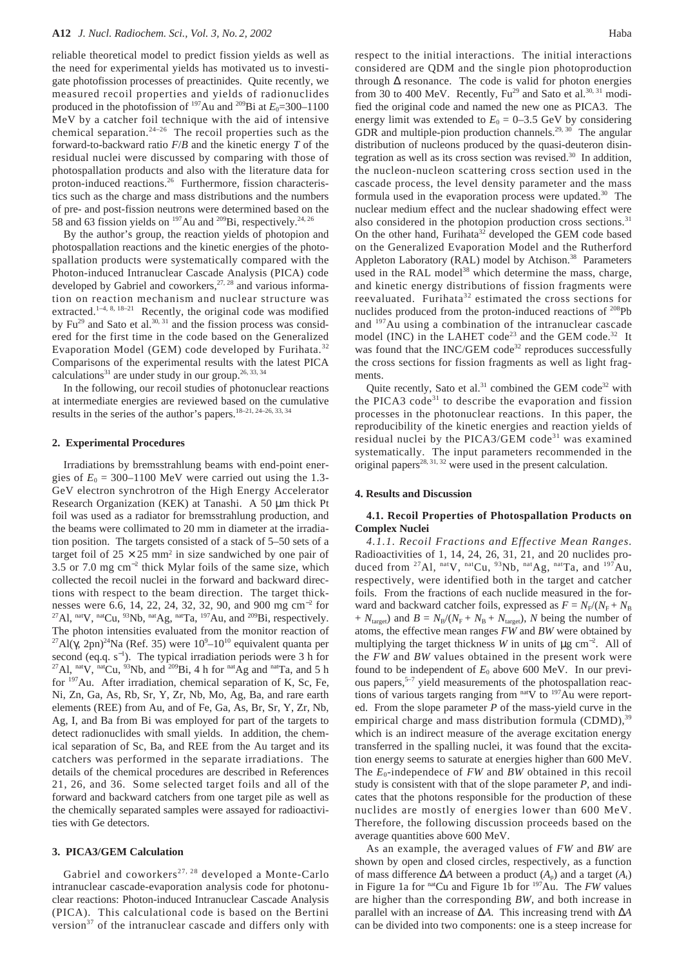reliable theoretical model to predict fission yields as well as the need for experimental yields has motivated us to investigate photofission processes of preactinides. Quite recently, we measured recoil properties and yields of radionuclides produced in the photofission of  $197$ Au and  $209$ Bi at  $E_0 = 300 - 1100$ MeV by a catcher foil technique with the aid of intensive chemical separation.<sup>24–26</sup> The recoil properties such as the forward-to-backward ratio *F*/*B* and the kinetic energy *T* of the residual nuclei were discussed by comparing with those of photospallation products and also with the literature data for proton-induced reactions.26 Furthermore, fission characteristics such as the charge and mass distributions and the numbers of pre- and post-fission neutrons were determined based on the 58 and 63 fission yields on  $^{197}$ Au and  $^{209}$ Bi, respectively.<sup>24, 26</sup>

By the author's group, the reaction yields of photopion and photospallation reactions and the kinetic energies of the photospallation products were systematically compared with the Photon-induced Intranuclear Cascade Analysis (PICA) code developed by Gabriel and coworkers, $27, 28$  and various information on reaction mechanism and nuclear structure was extracted.<sup>1-4, 8, 18-21</sup> Recently, the original code was modified by  $Fu^{29}$  and Sato et al.<sup>30, 31</sup> and the fission process was considered for the first time in the code based on the Generalized Evaporation Model (GEM) code developed by Furihata.<sup>32</sup> Comparisons of the experimental results with the latest PICA calculations<sup>31</sup> are under study in our group.<sup>26, 33, 34</sup>

In the following, our recoil studies of photonuclear reactions at intermediate energies are reviewed based on the cumulative results in the series of the author's papers.18–21, 24–26, 33, 34

#### **2. Experimental Procedures**

Irradiations by bremsstrahlung beams with end-point energies of  $E_0 = 300 - 1100$  MeV were carried out using the 1.3-GeV electron synchrotron of the High Energy Accelerator Research Organization (KEK) at Tanashi. A 50 µm thick Pt foil was used as a radiator for bremsstrahlung production, and the beams were collimated to 20 mm in diameter at the irradiation position. The targets consisted of a stack of 5–50 sets of a target foil of  $25 \times 25$  mm<sup>2</sup> in size sandwiched by one pair of 3.5 or 7.0 mg cm<sup>−</sup><sup>2</sup> thick Mylar foils of the same size, which collected the recoil nuclei in the forward and backward directions with respect to the beam direction. The target thicknesses were 6.6, 14, 22, 24, 32, 32, 90, and 900 mg cm<sup>−</sup><sup>2</sup> for <sup>27</sup>Al, <sup>nat</sup>V, <sup>nat</sup>Cu, <sup>93</sup>Nb, <sup>nat</sup>Ag, <sup>nat</sup>Ta, <sup>197</sup>Au, and <sup>209</sup>Bi, respectively. The photon intensities evaluated from the monitor reaction of <sup>27</sup>Al(γ, 2pn)<sup>24</sup>Na (Ref. 35) were  $10^9$ – $10^{10}$  equivalent quanta per second (eq.q.  $s^{-1}$ ). The typical irradiation periods were 3 h for <sup>27</sup>Al, <sup>nat</sup>V, <sup>nat</sup>Cu, <sup>93</sup>Nb, and <sup>209</sup>Bi, 4 h for <sup>nat</sup>Ag and <sup>nat</sup>Ta, and 5 h for  $197$ Au. After irradiation, chemical separation of K, Sc, Fe, Ni, Zn, Ga, As, Rb, Sr, Y, Zr, Nb, Mo, Ag, Ba, and rare earth elements (REE) from Au, and of Fe, Ga, As, Br, Sr, Y, Zr, Nb, Ag, I, and Ba from Bi was employed for part of the targets to detect radionuclides with small yields. In addition, the chemical separation of Sc, Ba, and REE from the Au target and its catchers was performed in the separate irradiations. The details of the chemical procedures are described in References 21, 26, and 36. Some selected target foils and all of the forward and backward catchers from one target pile as well as the chemically separated samples were assayed for radioactivities with Ge detectors.

#### **3. PICA3/GEM Calculation**

Gabriel and coworkers<sup>27, 28</sup> developed a Monte-Carlo intranuclear cascade-evaporation analysis code for photonuclear reactions: Photon-induced Intranuclear Cascade Analysis (PICA). This calculational code is based on the Bertini version<sup>37</sup> of the intranuclear cascade and differs only with respect to the initial interactions. The initial interactions considered are QDM and the single pion photoproduction through  $\Delta$  resonance. The code is valid for photon energies from 30 to 400 MeV. Recently,  $Fu^{29}$  and Sato et al.<sup>30, 31</sup> modified the original code and named the new one as PICA3. The energy limit was extended to  $E_0 = 0-3.5$  GeV by considering GDR and multiple-pion production channels.<sup>29, 30</sup> The angular distribution of nucleons produced by the quasi-deuteron disintegration as well as its cross section was revised.<sup>30</sup> In addition, the nucleon-nucleon scattering cross section used in the cascade process, the level density parameter and the mass formula used in the evaporation process were updated.<sup>30</sup> The nuclear medium effect and the nuclear shadowing effect were also considered in the photopion production cross sections. $31$ On the other hand, Furihata<sup>32</sup> developed the GEM code based on the Generalized Evaporation Model and the Rutherford Appleton Laboratory (RAL) model by Atchison.<sup>38</sup> Parameters used in the RAL model<sup>38</sup> which determine the mass, charge, and kinetic energy distributions of fission fragments were reevaluated. Furihata<sup>32</sup> estimated the cross sections for nuclides produced from the proton-induced reactions of 208Pb and 197Au using a combination of the intranuclear cascade model (INC) in the LAHET code<sup>23</sup> and the GEM code.<sup>32</sup> It was found that the INC/GEM code<sup>32</sup> reproduces successfully the cross sections for fission fragments as well as light fragments.

Quite recently, Sato et al. $31$  combined the GEM code<sup>32</sup> with the PICA3 code<sup>31</sup> to describe the evaporation and fission processes in the photonuclear reactions. In this paper, the reproducibility of the kinetic energies and reaction yields of residual nuclei by the PICA3/GEM code<sup>31</sup> was examined systematically. The input parameters recommended in the original papers<sup>28, 31, 32</sup> were used in the present calculation.

#### **4. Results and Discussion**

## **4.1. Recoil Properties of Photospallation Products on Complex Nuclei**

*4.1.1. Recoil Fractions and Effective Mean Ranges.* Radioactivities of 1, 14, 24, 26, 31, 21, and 20 nuclides produced from <sup>27</sup>Al, <sup>nat</sup>V, <sup>nat</sup>Cu, <sup>93</sup>Nb, <sup>nat</sup>Ag, <sup>nat</sup>Ta, and <sup>197</sup>Au, respectively, were identified both in the target and catcher foils. From the fractions of each nuclide measured in the forward and backward catcher foils, expressed as  $F = N_F/(N_F + N_B)$ +  $N<sub>target</sub>$ ) and  $B = N<sub>B</sub>/(N<sub>F</sub> + N<sub>B</sub> + N<sub>target</sub>)$ , *N* being the number of atoms, the effective mean ranges *FW* and *BW* were obtained by multiplying the target thickness *W* in units of  $\mu$ g cm<sup>-2</sup>. All of the *FW* and *BW* values obtained in the present work were found to be independent of  $E_0$  above 600 MeV. In our previous papers,<sup>5-7</sup> yield measurements of the photospallation reactions of various targets ranging from natV to <sup>197</sup>Au were reported. From the slope parameter *P* of the mass-yield curve in the empirical charge and mass distribution formula  $(CDMD)$ ,  $39$ which is an indirect measure of the average excitation energy transferred in the spalling nuclei, it was found that the excitation energy seems to saturate at energies higher than 600 MeV. The  $E_0$ -independece of *FW* and *BW* obtained in this recoil study is consistent with that of the slope parameter *P*, and indicates that the photons responsible for the production of these nuclides are mostly of energies lower than 600 MeV. Therefore, the following discussion proceeds based on the average quantities above 600 MeV.

As an example, the averaged values of *FW* and *BW* are shown by open and closed circles, respectively, as a function of mass difference ∆*A* between a product (*A*p) and a target (*A*t) in Figure 1a for natCu and Figure 1b for 197Au. The *FW* values are higher than the corresponding *BW*, and both increase in parallel with an increase of ∆*A*. This increasing trend with ∆*A* can be divided into two components: one is a steep increase for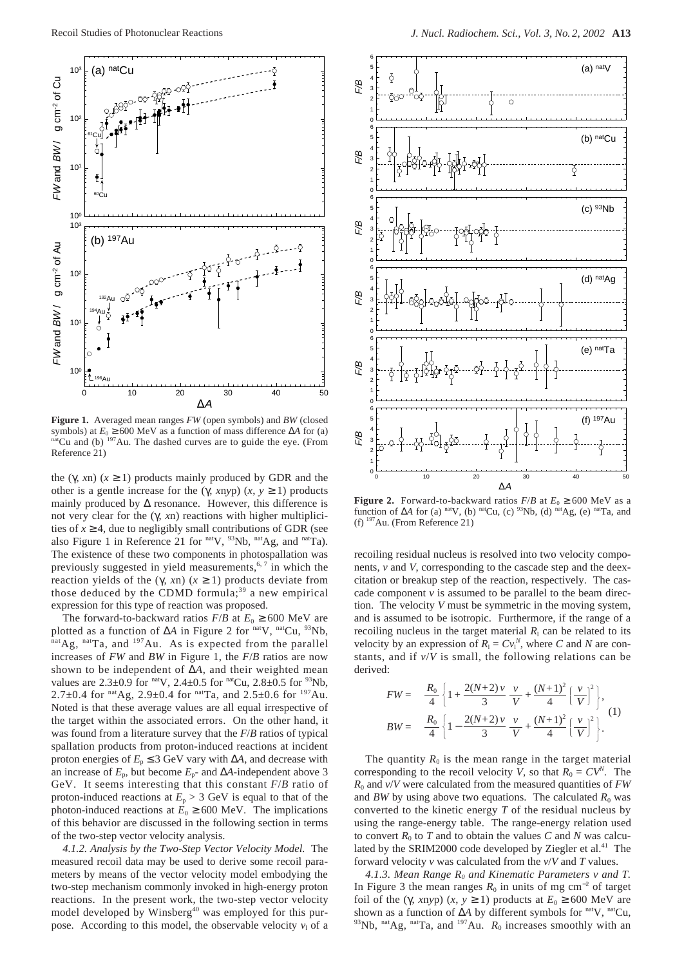

**Figure 1.** Averaged mean ranges *FW* (open symbols) and *BW* (closed symbols) at  $E_0 \ge 600$  MeV as a function of mass difference  $\Delta A$  for (a) <sup>nat</sup>Cu and (b) <sup>197</sup>Au. The dashed curves are to guide the eye. (From Reference 21)

the (γ, *xn*) ( $x \ge 1$ ) products mainly produced by GDR and the other is a gentle increase for the (γ, *xnyp*) (*x*,  $y \ge 1$ ) products mainly produced by  $\Delta$  resonance. However, this difference is not very clear for the (γ, *x*n) reactions with higher multiplicities of  $x \geq 4$ , due to negligibly small contributions of GDR (see also Figure 1 in Reference 21 for nat<sub>V</sub>, <sup>93</sup>Nb, nat<sub>Ag</sub>, and natTa). The existence of these two components in photospallation was previously suggested in yield measurements, $6, 7$  in which the reaction yields of the (γ, *xn*) ( $x \ge 1$ ) products deviate from those deduced by the CDMD formula;<sup>39</sup> a new empirical expression for this type of reaction was proposed.

The forward-to-backward ratios  $F/B$  at  $E_0 \ge 600$  MeV are plotted as a function of ∆*A* in Figure 2 for natV, natCu, 93Nb,  $n^{\text{nat}}$ Ag,  $n^{\text{nat}}$ Ta, and  $197$ Au. As is expected from the parallel increases of *FW* and *BW* in Figure 1, the *F*/*B* ratios are now shown to be independent of ∆*A*, and their weighted mean values are  $2.3 \pm 0.9$  for natV,  $2.4 \pm 0.5$  for natCu,  $2.8 \pm 0.5$  for  $93$ Nb, 2.7 $\pm$ 0.4 for <sup>nat</sup>Ag, 2.9 $\pm$ 0.4 for <sup>nat</sup>Ta, and 2.5 $\pm$ 0.6 for <sup>197</sup>Au. Noted is that these average values are all equal irrespective of the target within the associated errors. On the other hand, it was found from a literature survey that the *F*/*B* ratios of typical spallation products from proton-induced reactions at incident proton energies of  $E_p \leq 3$  GeV vary with  $\Delta A$ , and decrease with an increase of  $E_p$ , but become  $E_p$ - and  $\Delta A$ -independent above 3 GeV. It seems interesting that this constant *F*/*B* ratio of proton-induced reactions at  $E_p > 3$  GeV is equal to that of the photon-induced reactions at  $E_0 \ge 600$  MeV. The implications of this behavior are discussed in the following section in terms of the two-step vector velocity analysis.

*4.1.2. Analysis by the Two-Step Vector Velocity Model.* The measured recoil data may be used to derive some recoil parameters by means of the vector velocity model embodying the two-step mechanism commonly invoked in high-energy proton reactions. In the present work, the two-step vector velocity model developed by Winsberg<sup>40</sup> was employed for this purpose. According to this model, the observable velocity  $v_1$  of a



**Figure 2.** Forward-to-backward ratios  $F/B$  at  $E_0 \ge 600$  MeV as a function of  $\Delta A$  for (a) natV, (b) natCu, (c) <sup>93</sup>Nb, (d) natAg, (e) natTa, and (f)  $197$ Au. (From Reference 21)

recoiling residual nucleus is resolved into two velocity components, *v* and *V*, corresponding to the cascade step and the deexcitation or breakup step of the reaction, respectively. The cascade component  $\nu$  is assumed to be parallel to the beam direction. The velocity *V* must be symmetric in the moving system, and is assumed to be isotropic. Furthermore, if the range of a recoiling nucleus in the target material  $R_1$  can be related to its velocity by an expression of  $R_1 = Cv_1^N$ , where *C* and *N* are constants, and if *v*/*V* is small, the following relations can be derived:

$$
FW = \frac{R_0}{4} \left\{ 1 + \frac{2(N+2)\nu}{3} \frac{\nu}{V} + \frac{(N+1)^2}{4} \left[ \frac{\nu}{V} \right]^2 \right\},\newline BW = \frac{R_0}{4} \left\{ 1 - \frac{2(N+2)\nu}{3} \frac{\nu}{V} + \frac{(N+1)^2}{4} \left[ \frac{\nu}{V} \right]^2 \right\}.
$$
 (1)

The quantity  $R_0$  is the mean range in the target material corresponding to the recoil velocity *V*, so that  $R_0 = CV^N$ . The *R*<sup>0</sup> and *v*/*V* were calculated from the measured quantities of *FW* and *BW* by using above two equations. The calculated  $R_0$  was converted to the kinetic energy *T* of the residual nucleus by using the range-energy table. The range-energy relation used to convert  $R_0$  to  $T$  and to obtain the values  $C$  and  $N$  was calculated by the SRIM2000 code developed by Ziegler et al.<sup>41</sup> The forward velocity *v* was calculated from the *v*/*V* and *T* values.

4.1.3. Mean Range R<sub>0</sub> and Kinematic Parameters v and T. In Figure 3 the mean ranges  $R_0$  in units of mg cm<sup>-2</sup> of target foil of the (γ, *xnyp*) (*x*,  $y \ge 1$ ) products at  $E_0 \ge 600$  MeV are shown as a function of Δ*A* by different symbols for <sup>nat</sup>V, <sup>nat</sup>Cu, <sup>93</sup>Nb, nat<sub>Ag</sub>, nat<sub>Ta</sub>, and <sup>197</sup>Au.  $R_0$  increases smoothly with an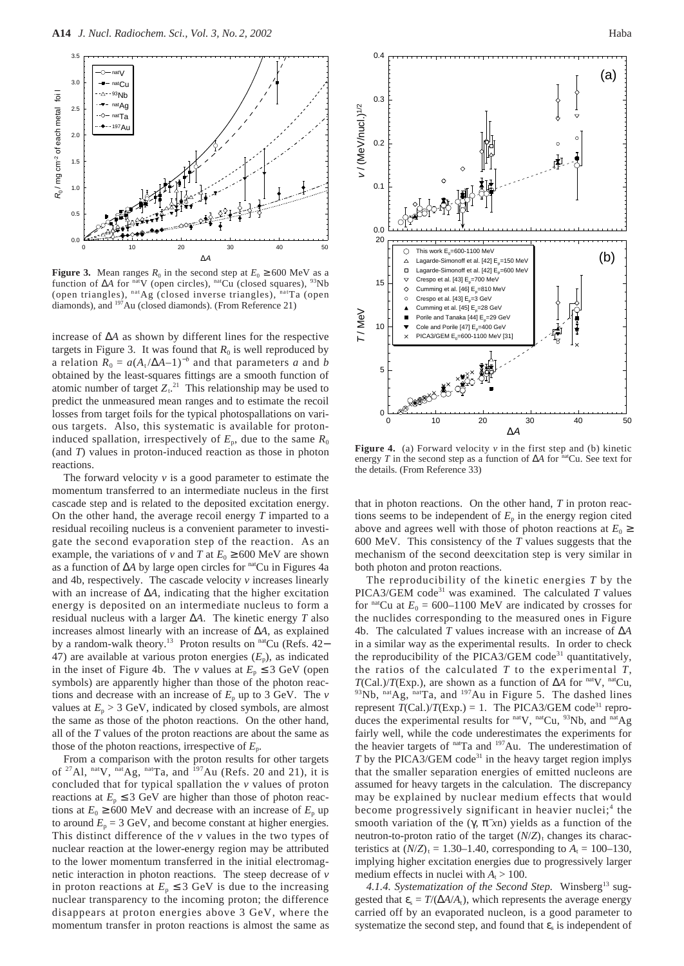

**Figure 3.** Mean ranges  $R_0$  in the second step at  $E_0 \ge 600$  MeV as a function of Δ*A* for <sup>nat</sup>V (open circles), <sup>nat</sup>Cu (closed squares), <sup>93</sup>Nb (open triangles),  $n \times \text{C}$  (closed inverse triangles),  $n \times \text{C}$  (open diamonds), and 197Au (closed diamonds). (From Reference 21)

increase of ∆*A* as shown by different lines for the respective targets in Figure 3. It was found that  $R_0$  is well reproduced by a relation  $R_0 = a(A_t/\Delta A-1)^{-b}$  and that parameters *a* and *b* obtained by the least-squares fittings are a smooth function of atomic number of target  $Z_t$ .<sup>21</sup> This relationship may be used to predict the unmeasured mean ranges and to estimate the recoil losses from target foils for the typical photospallations on various targets. Also, this systematic is available for protoninduced spallation, irrespectively of  $E_p$ , due to the same  $R_0$ (and *T*) values in proton-induced reaction as those in photon reactions.

The forward velocity *v* is a good parameter to estimate the momentum transferred to an intermediate nucleus in the first cascade step and is related to the deposited excitation energy. On the other hand, the average recoil energy *T* imparted to a residual recoiling nucleus is a convenient parameter to investigate the second evaporation step of the reaction. As an example, the variations of *v* and *T* at  $E_0 \ge 600$  MeV are shown as a function of ∆*A* by large open circles for natCu in Figures 4a and 4b, respectively. The cascade velocity *v* increases linearly with an increase of ∆*A*, indicating that the higher excitation energy is deposited on an intermediate nucleus to form a residual nucleus with a larger ∆*A*. The kinetic energy *T* also increases almost linearly with an increase of ∆*A*, as explained by a random-walk theory.<sup>13</sup> Proton results on <sup>nat</sup>Cu (Refs. 42− 47) are available at various proton energies  $(E_p)$ , as indicated in the inset of Figure 4b. The *v* values at  $E_p \leq 3$  GeV (open symbols) are apparently higher than those of the photon reactions and decrease with an increase of  $E_p$  up to 3 GeV. The  $\nu$ values at  $E_p > 3$  GeV, indicated by closed symbols, are almost the same as those of the photon reactions. On the other hand, all of the *T* values of the proton reactions are about the same as those of the photon reactions, irrespective of *E*p.

From a comparison with the proton results for other targets of <sup>27</sup>Al, <sup>nat</sup>V, <sup>nat</sup>Ag, <sup>nat</sup>Ta, and <sup>197</sup>Au (Refs. 20 and 21), it is concluded that for typical spallation the *v* values of proton reactions at  $E_p \leq 3$  GeV are higher than those of photon reactions at  $E_0 \ge 600$  MeV and decrease with an increase of  $E_p$  up to around  $E_p = 3$  GeV, and become constant at higher energies. This distinct difference of the *v* values in the two types of nuclear reaction at the lower-energy region may be attributed to the lower momentum transferred in the initial electromagnetic interaction in photon reactions. The steep decrease of *v* in proton reactions at  $E_p \leq 3$  GeV is due to the increasing nuclear transparency to the incoming proton; the difference disappears at proton energies above 3 GeV, where the momentum transfer in proton reactions is almost the same as



**Figure 4.** (a) Forward velocity  $\nu$  in the first step and (b) kinetic energy *T* in the second step as a function of ∆*A* for natCu. See text for the details. (From Reference 33)

that in photon reactions. On the other hand, *T* in proton reactions seems to be independent of  $E<sub>p</sub>$  in the energy region cited above and agrees well with those of photon reactions at  $E_0 \geq$ 600 MeV. This consistency of the *T* values suggests that the mechanism of the second deexcitation step is very similar in both photon and proton reactions.

The reproducibility of the kinetic energies *T* by the PICA3/GEM code<sup>31</sup> was examined. The calculated  $T$  values for <sup>nat</sup>Cu at  $E_0 = 600-1100$  MeV are indicated by crosses for the nuclides corresponding to the measured ones in Figure 4b. The calculated *T* values increase with an increase of ∆*A* in a similar way as the experimental results. In order to check the reproducibility of the PICA3/GEM code<sup>31</sup> quantitatively, the ratios of the calculated *T* to the experimental *T*, *T*(Cal.)/*T*(Exp.), are shown as a function of  $\Delta A$  for natV, natCu,  $^{93}$ Nb,  $^{nat}Ag$ ,  $^{nat}Ta$ , and  $^{197}Au$  in Figure 5. The dashed lines represent  $T(Cal.)/T(Exp.) = 1$ . The PICA3/GEM code<sup>31</sup> reproduces the experimental results for natV, natCu, 93Nb, and natAg fairly well, while the code underestimates the experiments for the heavier targets of natTa and <sup>197</sup>Au. The underestimation of  $T$  by the PICA3/GEM code<sup>31</sup> in the heavy target region implys that the smaller separation energies of emitted nucleons are assumed for heavy targets in the calculation. The discrepancy may be explained by nuclear medium effects that would become progressively significant in heavier nuclei;<sup>4</sup> the smooth variation of the  $(\gamma, \pi^-\overline{x})$  yields as a function of the neutron-to-proton ratio of the target  $(N/Z)$ <sub>t</sub> changes its characteristics at  $(N/Z)_t = 1.30{\text -}1.40$ , corresponding to  $A_t = 100{\text -}130$ , implying higher excitation energies due to progressively larger medium effects in nuclei with  $A_t > 100$ .

4.1.4. Systematization of the Second Step. Winsberg<sup>13</sup> suggested that  $\varepsilon_s = T/(\Delta A/A_t)$ , which represents the average energy carried off by an evaporated nucleon, is a good parameter to systematize the second step, and found that  $\varepsilon$ <sub>s</sub> is independent of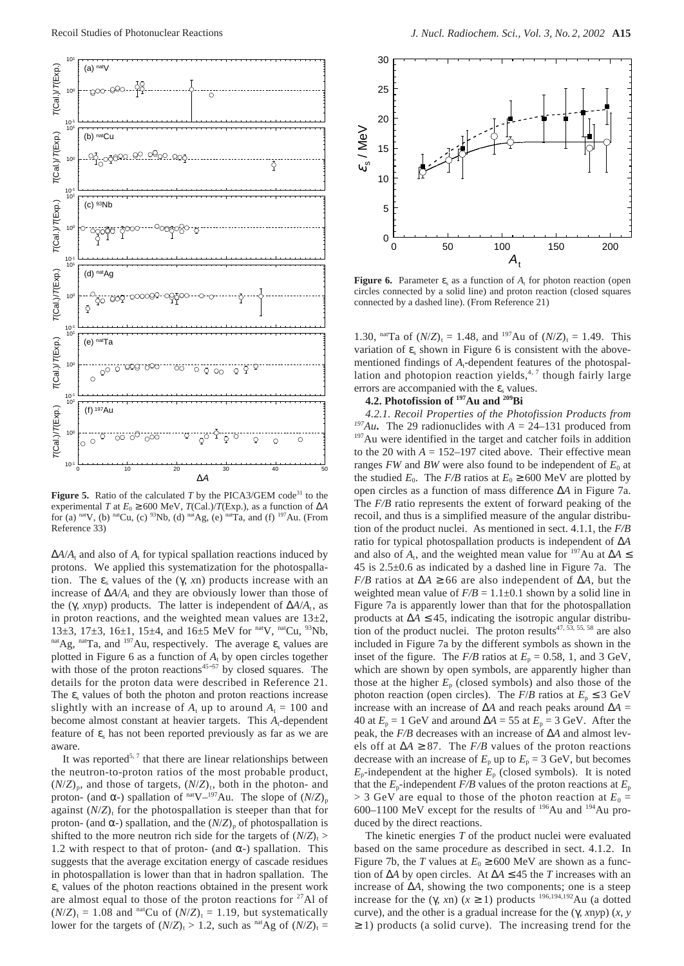

**Figure 5.** Ratio of the calculated  $T$  by the PICA3/GEM code<sup>31</sup> to the experimental *T* at  $E_0 \ge 600$  MeV, *T*(Cal.)/*T*(Exp.), as a function of ∆*A* for (a) nat<sub>V</sub>, (b) nat<sub>Cu</sub>, (c) <sup>93</sup>Nb, (d) nat<sub>Ag</sub>, (e) nat<sub>Ta</sub>, and (f) <sup>197</sup>Au. (From Reference 33)

 $\Delta A/A_t$  and also of  $A_t$  for typical spallation reactions induced by protons. We applied this systematization for the photospallation. The  $\varepsilon$ <sub>s</sub> values of the (γ, *xn*) products increase with an increase of  $\Delta A/A_t$  and they are obviously lower than those of the (γ, *xnyp*) products. The latter is independent of  $ΔA/A<sub>t</sub>$ , as in proton reactions, and the weighted mean values are  $13\pm2$ , 13 $\pm$ 3, 17 $\pm$ 3, 16 $\pm$ 1, 15 $\pm$ 4, and 16 $\pm$ 5 MeV for natV, natCu, <sup>93</sup>Nb, nat Ag, nat Ta, and  $197$  Au, respectively. The average  $\varepsilon$ <sub>s</sub> values are plotted in Figure 6 as a function of  $A_t$  by open circles together with those of the proton reactions<sup>45−57</sup> by closed squares. The details for the proton data were described in Reference 21. The  $\varepsilon$  values of both the photon and proton reactions increase slightly with an increase of  $A_t$  up to around  $A_t = 100$  and become almost constant at heavier targets. This A<sub>t</sub>-dependent feature of  $\varepsilon$ <sub>s</sub> has not been reported previously as far as we are aware.

It was reported<sup>5, 7</sup> that there are linear relationships between the neutron-to-proton ratios of the most probable product,  $(N/Z)_{p}$ , and those of targets,  $(N/Z)_{t}$ , both in the photon- and proton- (and  $\alpha$ -) spallation of <sup>nat</sup>V–<sup>197</sup>Au. The slope of  $(N/Z)$ <sub>p</sub> against  $(N/Z)$ <sub>t</sub> for the photospallation is steeper than that for proton- (and α-) spallation, and the  $(N/Z)$ <sub>p</sub> of photospallation is shifted to the more neutron rich side for the targets of  $(N/Z)_t$ 1.2 with respect to that of proton- (and  $\alpha$ -) spallation. This suggests that the average excitation energy of cascade residues in photospallation is lower than that in hadron spallation. The  $\varepsilon$ <sub>s</sub> values of the photon reactions obtained in the present work are almost equal to those of the proton reactions for  $27$ Al of  $(N/Z)_t = 1.08$  and <sup>nat</sup>Cu of  $(N/Z)_t = 1.19$ , but systematically lower for the targets of  $(N/Z)_t > 1.2$ , such as <sup>nat</sup>Ag of  $(N/Z)_t$  =



**Figure 6.** Parameter  $\varepsilon_s$  as a function of  $A_t$  for photon reaction (open circles connected by a solid line) and proton reaction (closed squares connected by a dashed line). (From Reference 21)

1.30, <sup>nat</sup>Ta of  $(N/Z)_t = 1.48$ , and <sup>197</sup>Au of  $(N/Z)_t = 1.49$ . This variation of  $\varepsilon$ <sub>s</sub> shown in Figure 6 is consistent with the abovementioned findings of  $A_t$ -dependent features of the photospallation and photopion reaction yields, $4, 7$  though fairly large errors are accompanied with the  $\varepsilon$ <sub>s</sub> values.

## **4.2. Photofission of 197Au and 209Bi**

*4.2.1. Recoil Properties of the Photofission Products from* <sup>197</sup>Au. The 29 radionuclides with  $A = 24-131$  produced from 197Au were identified in the target and catcher foils in addition to the 20 with  $A = 152-197$  cited above. Their effective mean ranges  $FW$  and  $BW$  were also found to be independent of  $E_0$  at the studied  $E_0$ . The *F/B* ratios at  $E_0 \ge 600$  MeV are plotted by open circles as a function of mass difference ∆*A* in Figure 7a. The *F/B* ratio represents the extent of forward peaking of the recoil, and thus is a simplified measure of the angular distribution of the product nuclei. As mentioned in sect. 4.1.1, the *F/B* ratio for typical photospallation products is independent of ∆*A* and also of  $A_t$ , and the weighted mean value for <sup>197</sup>Au at ∆*A* ≤ 45 is 2.5±0.6 as indicated by a dashed line in Figure 7a. The *F/B* ratios at  $\Delta A \ge 66$  are also independent of  $\Delta A$ , but the weighted mean value of  $F/B = 1.1 \pm 0.1$  shown by a solid line in Figure 7a is apparently lower than that for the photospallation products at ∆*A* ≤ 45, indicating the isotropic angular distribution of the product nuclei. The proton results $47, \overline{53}, 55, 58$  are also included in Figure 7a by the different symbols as shown in the inset of the figure. The  $F/B$  ratios at  $E_p = 0.58$ , 1, and 3 GeV, which are shown by open symbols, are apparently higher than those at the higher  $E_p$  (closed symbols) and also those of the photon reaction (open circles). The  $F/B$  ratios at  $E_p \leq 3$  GeV increase with an increase of ∆*A* and reach peaks around ∆*A* = 40 at  $E_p = 1$  GeV and around  $\Delta A = 55$  at  $E_p = 3$  GeV. After the peak, the *F/B* decreases with an increase of ∆*A* and almost levels off at  $\Delta A \geq 87$ . The *F/B* values of the proton reactions decrease with an increase of  $E_p$  up to  $E_p = 3$  GeV, but becomes  $E_p$ -independent at the higher  $E_p$  (closed symbols). It is noted that the  $E_p$ -independent  $F/B$  values of the proton reactions at  $E_p$  $>$  3 GeV are equal to those of the photon reaction at  $E_0$  = 600–1100 MeV except for the results of 196Au and 194Au produced by the direct reactions.

The kinetic energies *T* of the product nuclei were evaluated based on the same procedure as described in sect. 4.1.2. In Figure 7b, the *T* values at  $E_0 \ge 600$  MeV are shown as a function of ∆*A* by open circles. At ∆*A* ≤ 45 the *T* increases with an increase of ∆*A*, showing the two components; one is a steep increase for the (γ, *xn*) ( $x \ge 1$ ) products <sup>196,194,192</sup>Au (a dotted curve), and the other is a gradual increase for the (γ, *x*n*y*p) (*x*, *y*  $\geq$  1) products (a solid curve). The increasing trend for the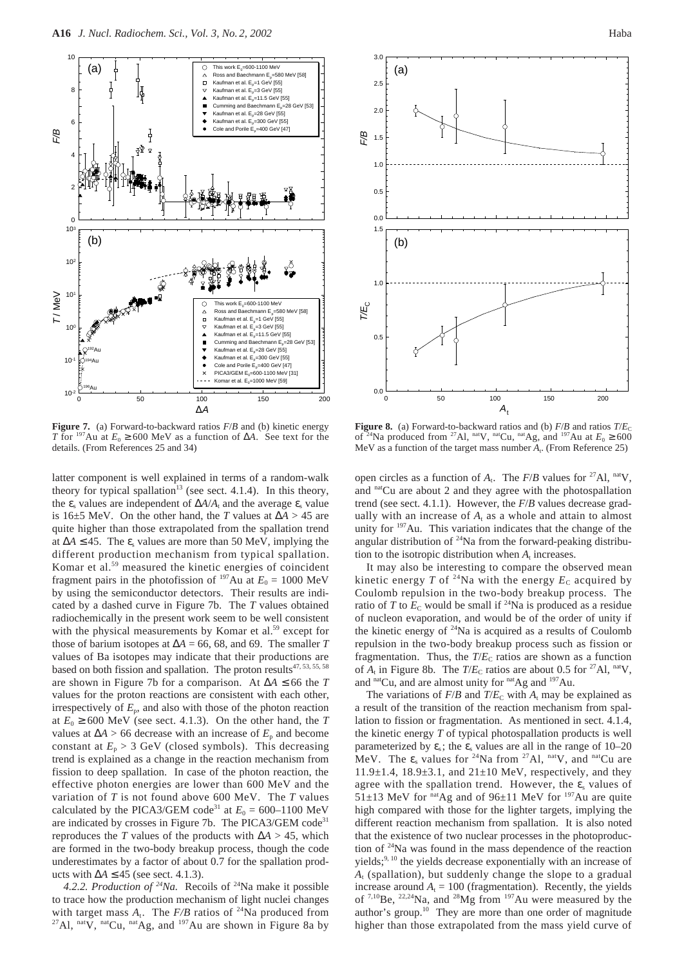

**Figure 7.** (a) Forward-to-backward ratios *F*/*B* and (b) kinetic energy *T* for <sup>197</sup>Au at  $E_0 \ge 600$  MeV as a function of  $\Delta A$ . See text for the details. (From References 25 and 34)

latter component is well explained in terms of a random-walk theory for typical spallation<sup>13</sup> (see sect. 4.1.4). In this theory, the  $\varepsilon$ <sub>s</sub> values are independent of  $\Delta A/A_t$  and the average  $\varepsilon$ <sub>s</sub> value is 16±5 MeV. On the other hand, the *T* values at ∆*A* > 45 are quite higher than those extrapolated from the spallation trend at  $\Delta A$  ≤ 45. The  $\varepsilon$ <sub>s</sub> values are more than 50 MeV, implying the different production mechanism from typical spallation. Komar et al.59 measured the kinetic energies of coincident fragment pairs in the photofission of  $197$ Au at  $E_0 = 1000$  MeV by using the semiconductor detectors. Their results are indicated by a dashed curve in Figure 7b. The *T* values obtained radiochemically in the present work seem to be well consistent with the physical measurements by Komar et al.<sup>59</sup> except for those of barium isotopes at  $\Delta A = 66, 68,$  and 69. The smaller *T* values of Ba isotopes may indicate that their productions are based on both fission and spallation. The proton results<sup>47, 53, 55, 58</sup> are shown in Figure 7b for a comparison. At ∆*A* ≤ 66 the *T* values for the proton reactions are consistent with each other, irrespectively of  $E_p$ , and also with those of the photon reaction at  $E_0 \ge 600$  MeV (see sect. 4.1.3). On the other hand, the *T* values at ∆*A* > 66 decrease with an increase of *E*<sup>p</sup> and become constant at  $E_p > 3$  GeV (closed symbols). This decreasing trend is explained as a change in the reaction mechanism from fission to deep spallation. In case of the photon reaction, the effective photon energies are lower than 600 MeV and the variation of *T* is not found above 600 MeV. The *T* values calculated by the PICA3/GEM code<sup>31</sup> at  $E_0 = 600-1100$  MeV are indicated by crosses in Figure 7b. The PICA3/GEM code<sup>31</sup> reproduces the *T* values of the products with  $\Delta A > 45$ , which are formed in the two-body breakup process, though the code underestimates by a factor of about 0.7 for the spallation products with  $\Delta A$  ≤ 45 (see sect. 4.1.3).

4.2.2. Production of  $24$ Na. Recoils of  $24$ Na make it possible to trace how the production mechanism of light nuclei changes with target mass  $A_t$ . The  $F/B$  ratios of <sup>24</sup>Na produced from  $^{27}$ Al, natV, natCu, natAg, and  $^{197}$ Au are shown in Figure 8a by



**Figure 8.** (a) Forward-to-backward ratios and (b)  $F/B$  and ratios  $T/E_C$ of <sup>24</sup>Na produced from <sup>27</sup>Al, <sup>nat</sup>V, <sup>nat</sup>Cu, <sup>nat</sup>Ag, and <sup>197</sup>Au at  $E_0 \ge 600$ MeV as a function of the target mass number  $A_t$ . (From Reference 25)

open circles as a function of  $A_t$ . The  $F/B$  values for <sup>27</sup>Al, <sup>nat</sup>V, and natCu are about 2 and they agree with the photospallation trend (see sect. 4.1.1). However, the *F*/*B* values decrease gradually with an increase of  $A_t$  as a whole and attain to almost unity for <sup>197</sup>Au. This variation indicates that the change of the angular distribution of 24Na from the forward-peaking distribution to the isotropic distribution when  $A_t$  increases.

It may also be interesting to compare the observed mean kinetic energy *T* of <sup>24</sup>Na with the energy  $E_c$  acquired by Coulomb repulsion in the two-body breakup process. The ratio of *T* to  $E<sub>C</sub>$  would be small if <sup>24</sup>Na is produced as a residue of nucleon evaporation, and would be of the order of unity if the kinetic energy of 24Na is acquired as a results of Coulomb repulsion in the two-body breakup process such as fission or fragmentation. Thus, the  $T/E_C$  ratios are shown as a function of  $A_t$  in Figure 8b. The  $T/E_C$  ratios are about 0.5 for <sup>27</sup>Al, <sup>nat</sup>V, and natCu, and are almost unity for natAg and <sup>197</sup>Au.

The variations of  $F/B$  and  $T/E_C$  with  $A_t$  may be explained as a result of the transition of the reaction mechanism from spallation to fission or fragmentation. As mentioned in sect. 4.1.4, the kinetic energy *T* of typical photospallation products is well parameterized by  $\varepsilon_s$ ; the  $\varepsilon_s$  values are all in the range of 10–20 MeV. The  $\varepsilon_s$  values for <sup>24</sup>Na from <sup>27</sup>Al, <sup>nat</sup>V, and <sup>nat</sup>Cu are 11.9 $\pm$ 1.4, 18.9 $\pm$ 3.1, and 21 $\pm$ 10 MeV, respectively, and they agree with the spallation trend. However, the  $\varepsilon$ <sub>s</sub> values of 51 $\pm$ 13 MeV for <sup>nat</sup>Ag and of 96 $\pm$ 11 MeV for <sup>197</sup>Au are quite high compared with those for the lighter targets, implying the different reaction mechanism from spallation. It is also noted that the existence of two nuclear processes in the photoproduction of 24Na was found in the mass dependence of the reaction yields;<sup>9, 10</sup> the yields decrease exponentially with an increase of *A*<sup>t</sup> (spallation), but suddenly change the slope to a gradual increase around  $A_t = 100$  (fragmentation). Recently, the yields of <sup>7,10</sup>Be, <sup>22,24</sup>Na, and <sup>28</sup>Mg from <sup>197</sup>Au were measured by the author's group.10 They are more than one order of magnitude higher than those extrapolated from the mass yield curve of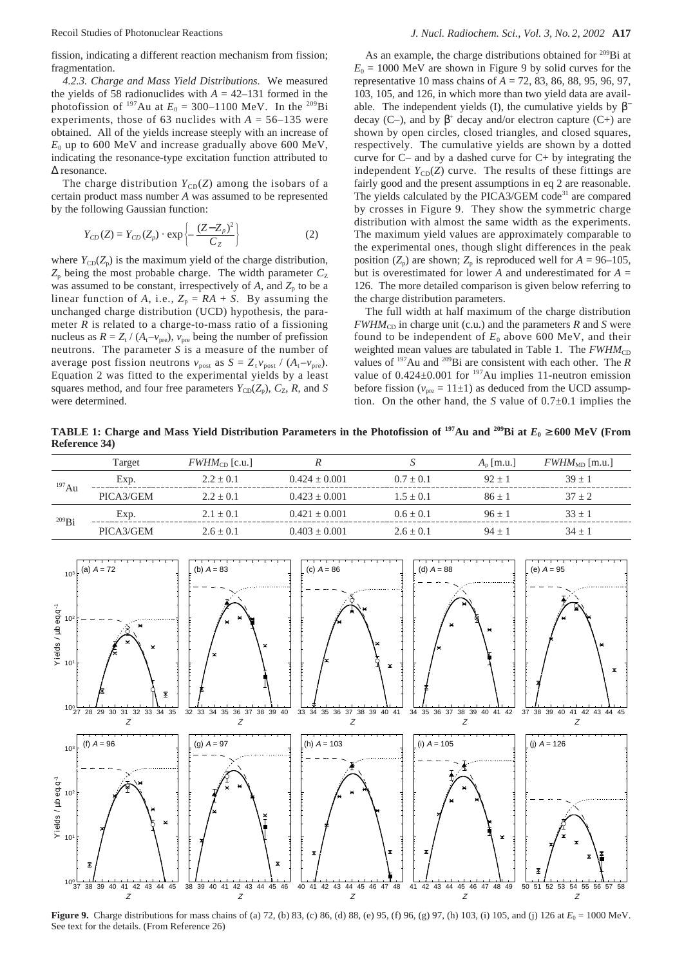fission, indicating a different reaction mechanism from fission; fragmentation.

*4.2.3. Charge and Mass Yield Distributions.* We measured the yields of 58 radionuclides with  $A = 42-131$  formed in the photofission of <sup>197</sup>Au at  $E_0 = 300-1100$  MeV. In the <sup>209</sup>Bi experiments, those of 63 nuclides with  $A = 56-135$  were obtained. All of the yields increase steeply with an increase of  $E_0$  up to 600 MeV and increase gradually above 600 MeV, indicating the resonance-type excitation function attributed to ∆ resonance.

The charge distribution  $Y_{CD}(Z)$  among the isobars of a certain product mass number *A* was assumed to be represented by the following Gaussian function:

$$
Y_{CD}(Z) = Y_{CD}(Z_p) \cdot \exp\left\{-\frac{(Z - Z_p)^2}{C_Z}\right\}
$$
 (2)

where  $Y_{CD}(Z_p)$  is the maximum yield of the charge distribution,  $Z_p$  being the most probable charge. The width parameter  $C_Z$ was assumed to be constant, irrespectively of  $A$ , and  $Z_p$  to be a linear function of *A*, i.e.,  $Z_p = RA + S$ . By assuming the unchanged charge distribution (UCD) hypothesis, the parameter *R* is related to a charge-to-mass ratio of a fissioning nucleus as  $R = Z_t / (A_t - v_{pre})$ ,  $v_{pre}$  being the number of prefission neutrons. The parameter *S* is a measure of the number of average post fission neutrons  $v_{\text{post}}$  as  $S = Z_t v_{\text{post}} / (A_t - v_{\text{pre}})$ . Equation 2 was fitted to the experimental yields by a least squares method, and four free parameters  $Y_{CD}(Z_p)$ ,  $C_Z$ ,  $R$ , and *S* were determined.

As an example, the charge distributions obtained for 209Bi at  $E_0 = 1000$  MeV are shown in Figure 9 by solid curves for the representative 10 mass chains of *A* = 72, 83, 86, 88, 95, 96, 97, 103, 105, and 126, in which more than two yield data are available. The independent yields (I), the cumulative yields by  $\beta$ <sup>−</sup> decay (C–), and by  $\beta^+$  decay and/or electron capture (C+) are shown by open circles, closed triangles, and closed squares, respectively. The cumulative yields are shown by a dotted curve for C– and by a dashed curve for C+ by integrating the independent  $Y_{CD}(Z)$  curve. The results of these fittings are fairly good and the present assumptions in eq 2 are reasonable. The yields calculated by the PICA3/GEM code<sup>31</sup> are compared by crosses in Figure 9. They show the symmetric charge distribution with almost the same width as the experiments. The maximum yield values are approximately comparable to the experimental ones, though slight differences in the peak position  $(Z_p)$  are shown;  $Z_p$  is reproduced well for  $A = 96-105$ , but is overestimated for lower *A* and underestimated for *A* = 126. The more detailed comparison is given below referring to the charge distribution parameters.

The full width at half maximum of the charge distribution  $FWHM_{CD}$  in charge unit (c.u.) and the parameters *R* and *S* were found to be independent of  $E_0$  above 600 MeV, and their weighted mean values are tabulated in Table 1. The  $FWHM_{CD}$ values of 197Au and 209Bi are consistent with each other. The *R* value of  $0.424 \pm 0.001$  for <sup>197</sup>Au implies 11-neutron emission before fission ( $v_{\text{pre}} = 11 \pm 1$ ) as deduced from the UCD assumption. On the other hand, the *S* value of 0.7±0.1 implies the

**TABLE 1:** Charge and Mass Yield Distribution Parameters in the Photofission of <sup>197</sup>Au and <sup>209</sup>Bi at  $E_0 \ge 600$  MeV (From **Reference 34)**

|             | Target    | $FWHM_{CD}$ [c.u.] |                 |             | $A_n$ [m.u.] | $FWHM_{MD}$ [m.u.] |
|-------------|-----------|--------------------|-----------------|-------------|--------------|--------------------|
| $^{197}$ Au | Exp.      | $2.2 + 0.1$        | $0.424 + 0.001$ | $0.7 + 0.1$ | $92 + 1$     | $39 + 1$           |
|             | PICA3/GEM | $2.2 + 0.1$        | $0.423 + 0.001$ | $1.5 + 0.1$ | $86 + 1$     | $37 + 2$           |
| $^{209}$ Bi | Exp.      | $2.1 + 0.1$        | $0.421 + 0.001$ | $0.6 + 0.1$ | $96 + 1$     | $33 + 1$           |
|             | PICA3/GEM | $2.6 + 0.1$        | $0.403 + 0.001$ | $2.6 + 0.1$ | $94 + 1$     | $34 + 1$           |



**Figure 9.** Charge distributions for mass chains of (a) 72, (b) 83, (c) 86, (d) 88, (e) 95, (f) 96, (g) 97, (h) 103, (i) 105, and (j) 126 at  $E_0 = 1000$  MeV. See text for the details. (From Reference 26)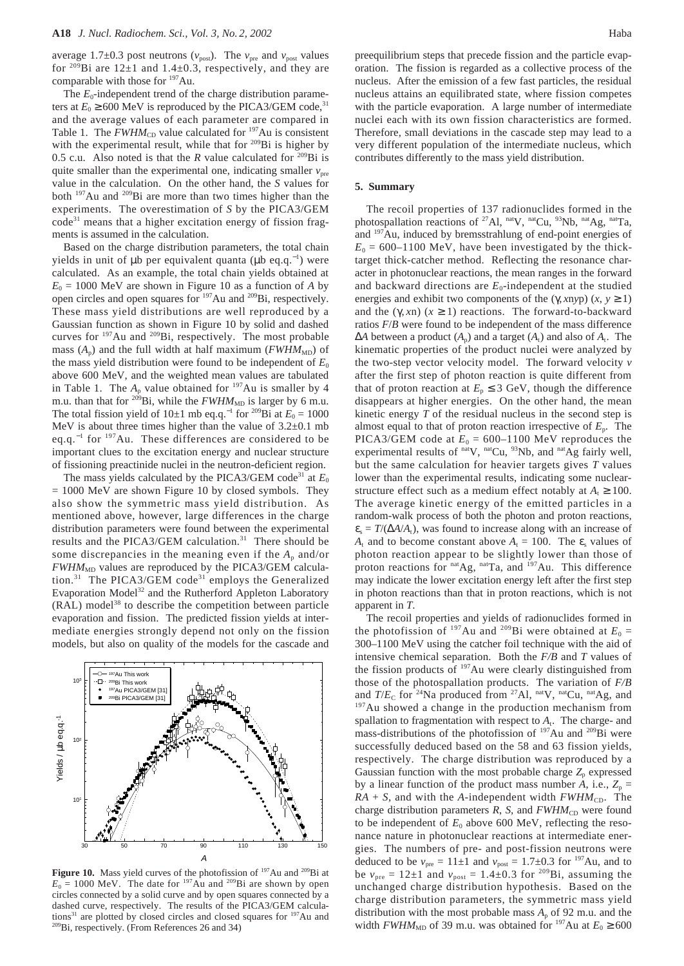average 1.7 $\pm$ 0.3 post neutrons ( $v_{\text{post}}$ ). The  $v_{\text{pre}}$  and  $v_{\text{post}}$  values for <sup>209</sup>Bi are  $12\pm1$  and  $1.4\pm0.3$ , respectively, and they are comparable with those for <sup>197</sup>Au.

The  $E_0$ -independent trend of the charge distribution parameters at  $E_0 \ge 600$  MeV is reproduced by the PICA3/GEM code,<sup>31</sup> and the average values of each parameter are compared in Table 1. The  $FWHM_{CD}$  value calculated for <sup>197</sup>Au is consistent with the experimental result, while that for  $209Bi$  is higher by 0.5 c.u. Also noted is that the *R* value calculated for <sup>209</sup>Bi is quite smaller than the experimental one, indicating smaller  $v_{\text{pre}}$ value in the calculation. On the other hand, the *S* values for both 197Au and 209Bi are more than two times higher than the experiments. The overestimation of *S* by the PICA3/GEM  $code^{31}$  means that a higher excitation energy of fission fragments is assumed in the calculation.

Based on the charge distribution parameters, the total chain yields in unit of µb per equivalent quanta (µb eq.q.<sup>−</sup><sup>1</sup> ) were calculated. As an example, the total chain yields obtained at  $E_0 = 1000$  MeV are shown in Figure 10 as a function of *A* by open circles and open squares for 197Au and 209Bi, respectively. These mass yield distributions are well reproduced by a Gaussian function as shown in Figure 10 by solid and dashed curves for 197Au and 209Bi, respectively. The most probable mass  $(A_p)$  and the full width at half maximum ( $FWHM<sub>MD</sub>$ ) of the mass yield distribution were found to be independent of  $E_0$ above 600 MeV, and the weighted mean values are tabulated in Table 1. The  $A_p$  value obtained for  $197$ Au is smaller by 4 m.u. than that for <sup>209</sup>Bi, while the  $FWHM_{MD}$  is larger by 6 m.u. The total fission yield of 10±1 mb eq.q.<sup>-1</sup> for <sup>209</sup>Bi at  $E_0 = 1000$ MeV is about three times higher than the value of  $3.2\pm0.1$  mb eq.q.<sup>−</sup><sup>1</sup> for 197Au. These differences are considered to be important clues to the excitation energy and nuclear structure of fissioning preactinide nuclei in the neutron-deficient region.

The mass yields calculated by the PICA3/GEM code<sup>31</sup> at  $E_0$  $= 1000$  MeV are shown Figure 10 by closed symbols. They also show the symmetric mass yield distribution. As mentioned above, however, large differences in the charge distribution parameters were found between the experimental results and the PICA3/GEM calculation.31 There should be some discrepancies in the meaning even if the  $A_p$  and/or  $FWHM<sub>MD</sub>$  values are reproduced by the PICA3/GEM calculation.<sup>31</sup> The PICA3/GEM code<sup>31</sup> employs the Generalized Evaporation Model<sup>32</sup> and the Rutherford Appleton Laboratory (RAL) model<sup>38</sup> to describe the competition between particle evaporation and fission. The predicted fission yields at intermediate energies strongly depend not only on the fission models, but also on quality of the models for the cascade and



Figure 10. Mass yield curves of the photofission of <sup>197</sup>Au and <sup>209</sup>Bi at  $E_0 = 1000$  MeV. The date for <sup>197</sup>Au and <sup>209</sup>Bi are shown by open circles connected by a solid curve and by open squares connected by a dashed curve, respectively. The results of the PICA3/GEM calculations<sup>31</sup> are plotted by closed circles and closed squares for  $197$ Au and 209Bi, respectively. (From References 26 and 34)

preequilibrium steps that precede fission and the particle evaporation. The fission is regarded as a collective process of the nucleus. After the emission of a few fast particles, the residual nucleus attains an equilibrated state, where fission competes with the particle evaporation. A large number of intermediate nuclei each with its own fission characteristics are formed. Therefore, small deviations in the cascade step may lead to a very different population of the intermediate nucleus, which contributes differently to the mass yield distribution.

#### **5. Summary**

The recoil properties of 137 radionuclides formed in the photospallation reactions of <sup>27</sup>Al,  $^{nat}V$ ,  $^{nat}Cu$ ,  $^{93}Nb$ ,  $^{nat}Ag$ ,  $^{nat}Ta$ , and 197Au, induced by bremsstrahlung of end-point energies of  $E_0 = 600 - 1100$  MeV, have been investigated by the thicktarget thick-catcher method. Reflecting the resonance character in photonuclear reactions, the mean ranges in the forward and backward directions are  $E_0$ -independent at the studied energies and exhibit two components of the  $(\gamma, x \gamma)$   $(x, y \ge 1)$ and the  $(\gamma, xn)$   $(x \ge 1)$  reactions. The forward-to-backward ratios *F*/*B* were found to be independent of the mass difference  $\Delta A$  between a product  $(A_p)$  and a target  $(A_t)$  and also of  $A_t$ . The kinematic properties of the product nuclei were analyzed by the two-step vector velocity model. The forward velocity *v* after the first step of photon reaction is quite different from that of proton reaction at  $E_p \leq 3$  GeV, though the difference disappears at higher energies. On the other hand, the mean kinetic energy *T* of the residual nucleus in the second step is almost equal to that of proton reaction irrespective of  $E_p$ . The PICA3/GEM code at  $E_0 = 600-1100$  MeV reproduces the experimental results of nat<sub>V</sub>, nat<sub>Cu</sub>, <sup>93</sup>Nb, and <sup>nat</sup>Ag fairly well, but the same calculation for heavier targets gives *T* values lower than the experimental results, indicating some nuclearstructure effect such as a medium effect notably at  $A_t \ge 100$ . The average kinetic energy of the emitted particles in a random-walk process of both the photon and proton reactions,  $\varepsilon_s = T/(\Delta A/A_t)$ , was found to increase along with an increase of *A*<sub>t</sub> and to become constant above  $A_t = 100$ . The  $\varepsilon_s$  values of photon reaction appear to be slightly lower than those of proton reactions for natAg, natTa, and <sup>197</sup>Au. This difference may indicate the lower excitation energy left after the first step in photon reactions than that in proton reactions, which is not apparent in *T*.

The recoil properties and yields of radionuclides formed in the photofission of <sup>197</sup>Au and <sup>209</sup>Bi were obtained at  $E_0 =$ 300–1100 MeV using the catcher foil technique with the aid of intensive chemical separation. Both the *F/B* and *T* values of the fission products of <sup>197</sup>Au were clearly distinguished from those of the photospallation products. The variation of *F/B* and  $T/E_C$  for <sup>24</sup>Na produced from <sup>27</sup>Al, <sup>nat</sup>V, <sup>nat</sup>Cu, <sup>nat</sup>Ag, and <sup>197</sup>Au showed a change in the production mechanism from spallation to fragmentation with respect to  $A_t$ . The charge- and mass-distributions of the photofission of <sup>197</sup>Au and <sup>209</sup>Bi were successfully deduced based on the 58 and 63 fission yields, respectively. The charge distribution was reproduced by a Gaussian function with the most probable charge  $Z_p$  expressed by a linear function of the product mass number *A*, i.e.,  $Z_p =$  $RA + S$ , and with the *A*-independent width  $FWHM_{CD}$ . The charge distribution parameters  $R$ ,  $S$ , and  $FWHM_{CD}$  were found to be independent of  $E_0$  above 600 MeV, reflecting the resonance nature in photonuclear reactions at intermediate energies. The numbers of pre- and post-fission neutrons were deduced to be  $v_{\text{pre}} = 11 \pm 1$  and  $v_{\text{post}} = 1.7 \pm 0.3$  for <sup>197</sup>Au, and to be  $v_{\text{pre}} = 12 \pm 1$  and  $v_{\text{post}} = 1.4 \pm 0.3$  for <sup>209</sup>Bi, assuming the unchanged charge distribution hypothesis. Based on the charge distribution parameters, the symmetric mass yield distribution with the most probable mass  $A_p$  of 92 m.u. and the width *FWHM*<sub>MD</sub> of 39 m.u. was obtained for <sup>197</sup>Au at  $E_0 \ge 600$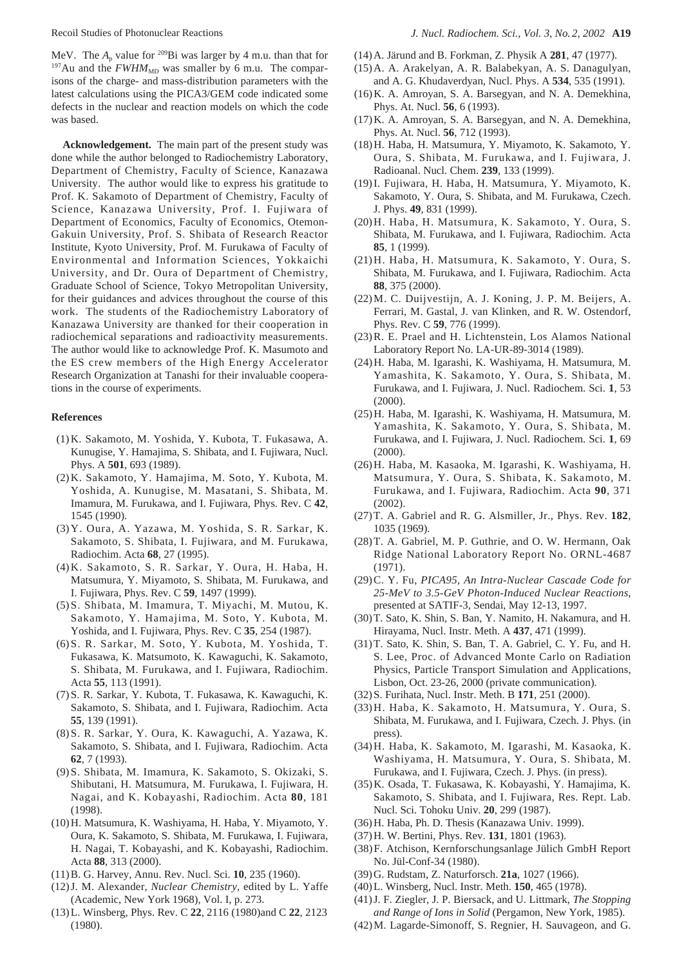MeV. The  $A_p$  value for <sup>209</sup>Bi was larger by 4 m.u. than that for <sup>197</sup>Au and the  $FWHM<sub>MD</sub>$  was smaller by 6 m.u. The comparisons of the charge- and mass-distribution parameters with the latest calculations using the PICA3/GEM code indicated some defects in the nuclear and reaction models on which the code was based.

**Acknowledgement.** The main part of the present study was done while the author belonged to Radiochemistry Laboratory, Department of Chemistry, Faculty of Science, Kanazawa University. The author would like to express his gratitude to Prof. K. Sakamoto of Department of Chemistry, Faculty of Science, Kanazawa University, Prof. I. Fujiwara of Department of Economics, Faculty of Economics, Otemon-Gakuin University, Prof. S. Shibata of Research Reactor Institute, Kyoto University, Prof. M. Furukawa of Faculty of Environmental and Information Sciences, Yokkaichi University, and Dr. Oura of Department of Chemistry, Graduate School of Science, Tokyo Metropolitan University, for their guidances and advices throughout the course of this work. The students of the Radiochemistry Laboratory of Kanazawa University are thanked for their cooperation in radiochemical separations and radioactivity measurements. The author would like to acknowledge Prof. K. Masumoto and the ES crew members of the High Energy Accelerator Research Organization at Tanashi for their invaluable cooperations in the course of experiments.

#### **References**

- (1) K. Sakamoto, M. Yoshida, Y. Kubota, T. Fukasawa, A. Kunugise, Y. Hamajima, S. Shibata, and I. Fujiwara, Nucl. Phys. A **501**, 693 (1989).
- (2) K. Sakamoto, Y. Hamajima, M. Soto, Y. Kubota, M. Yoshida, A. Kunugise, M. Masatani, S. Shibata, M. Imamura, M. Furukawa, and I. Fujiwara, Phys. Rev. C **42**, 1545 (1990).
- (3) Y. Oura, A. Yazawa, M. Yoshida, S. R. Sarkar, K. Sakamoto, S. Shibata, I. Fujiwara, and M. Furukawa, Radiochim. Acta **68**, 27 (1995).
- (4) K. Sakamoto, S. R. Sarkar, Y. Oura, H. Haba, H. Matsumura, Y. Miyamoto, S. Shibata, M. Furukawa, and I. Fujiwara, Phys. Rev. C **59**, 1497 (1999).
- (5) S. Shibata, M. Imamura, T. Miyachi, M. Mutou, K. Sakamoto, Y. Hamajima, M. Soto, Y. Kubota, M. Yoshida, and I. Fujiwara, Phys. Rev. C **35**, 254 (1987).
- (6) S. R. Sarkar, M. Soto, Y. Kubota, M. Yoshida, T. Fukasawa, K. Matsumoto, K. Kawaguchi, K. Sakamoto, S. Shibata, M. Furukawa, and I. Fujiwara, Radiochim. Acta **55**, 113 (1991).
- (7) S. R. Sarkar, Y. Kubota, T. Fukasawa, K. Kawaguchi, K. Sakamoto, S. Shibata, and I. Fujiwara, Radiochim. Acta **55**, 139 (1991).
- (8) S. R. Sarkar, Y. Oura, K. Kawaguchi, A. Yazawa, K. Sakamoto, S. Shibata, and I. Fujiwara, Radiochim. Acta **62**, 7 (1993).
- (9) S. Shibata, M. Imamura, K. Sakamoto, S. Okizaki, S. Shibutani, H. Matsumura, M. Furukawa, I. Fujiwara, H. Nagai, and K. Kobayashi, Radiochim. Acta **80**, 181 (1998).
- (10)H. Matsumura, K. Washiyama, H. Haba, Y. Miyamoto, Y. Oura, K. Sakamoto, S. Shibata, M. Furukawa, I. Fujiwara, H. Nagai, T. Kobayashi, and K. Kobayashi, Radiochim. Acta **88**, 313 (2000).
- (11)B. G. Harvey, Annu. Rev. Nucl. Sci. **10**, 235 (1960).
- (12)J. M. Alexander, *Nuclear Chemistry*, edited by L. Yaffe (Academic, New York 1968), Vol. I, p. 273.
- (13)L. Winsberg, Phys. Rev. C **22**, 2116 (1980)and C **22**, 2123 (1980).
- (14)A. Järund and B. Forkman, Z. Physik A **281**, 47 (1977).
- (15)A. A. Arakelyan, A. R. Balabekyan, A. S. Danagulyan, and A. G. Khudaverdyan, Nucl. Phys. A **534**, 535 (1991).
- (16)K. A. Amroyan, S. A. Barsegyan, and N. A. Demekhina, Phys. At. Nucl. **56**, 6 (1993).
- (17)K. A. Amroyan, S. A. Barsegyan, and N. A. Demekhina, Phys. At. Nucl. **56**, 712 (1993).
- (18)H. Haba, H. Matsumura, Y. Miyamoto, K. Sakamoto, Y. Oura, S. Shibata, M. Furukawa, and I. Fujiwara, J. Radioanal. Nucl. Chem. **239**, 133 (1999).
- (19)I. Fujiwara, H. Haba, H. Matsumura, Y. Miyamoto, K. Sakamoto, Y. Oura, S. Shibata, and M. Furukawa, Czech. J. Phys. **49**, 831 (1999).
- (20)H. Haba, H. Matsumura, K. Sakamoto, Y. Oura, S. Shibata, M. Furukawa, and I. Fujiwara, Radiochim. Acta **85**, 1 (1999).
- (21)H. Haba, H. Matsumura, K. Sakamoto, Y. Oura, S. Shibata, M. Furukawa, and I. Fujiwara, Radiochim. Acta **88**, 375 (2000).
- (22)M. C. Duijvestijn, A. J. Koning, J. P. M. Beijers, A. Ferrari, M. Gastal, J. van Klinken, and R. W. Ostendorf, Phys. Rev. C **59**, 776 (1999).
- (23)R. E. Prael and H. Lichtenstein, Los Alamos National Laboratory Report No. LA-UR-89-3014 (1989).
- (24)H. Haba, M. Igarashi, K. Washiyama, H. Matsumura, M. Yamashita, K. Sakamoto, Y. Oura, S. Shibata, M. Furukawa, and I. Fujiwara, J. Nucl. Radiochem. Sci. **1**, 53 (2000).
- (25)H. Haba, M. Igarashi, K. Washiyama, H. Matsumura, M. Yamashita, K. Sakamoto, Y. Oura, S. Shibata, M. Furukawa, and I. Fujiwara, J. Nucl. Radiochem. Sci. **1**, 69 (2000).
- (26)H. Haba, M. Kasaoka, M. Igarashi, K. Washiyama, H. Matsumura, Y. Oura, S. Shibata, K. Sakamoto, M. Furukawa, and I. Fujiwara, Radiochim. Acta **90**, 371 (2002).
- (27)T. A. Gabriel and R. G. Alsmiller, Jr., Phys. Rev. **182**, 1035 (1969).
- (28)T. A. Gabriel, M. P. Guthrie, and O. W. Hermann, Oak Ridge National Laboratory Report No. ORNL-4687 (1971).
- (29)C. Y. Fu, *PICA95, An Intra-Nuclear Cascade Code for 25-MeV to 3.5-GeV Photon-Induced Nuclear Reactions*, presented at SATIF-3, Sendai, May 12-13, 1997.
- (30)T. Sato, K. Shin, S. Ban, Y. Namito, H. Nakamura, and H. Hirayama, Nucl. Instr. Meth. A **437**, 471 (1999).
- (31)T. Sato, K. Shin, S. Ban, T. A. Gabriel, C. Y. Fu, and H. S. Lee, Proc. of Advanced Monte Carlo on Radiation Physics, Particle Transport Simulation and Applications, Lisbon, Oct. 23-26, 2000 (private communication).
- (32)S. Furihata, Nucl. Instr. Meth. B **171**, 251 (2000).
- (33)H. Haba, K. Sakamoto, H. Matsumura, Y. Oura, S. Shibata, M. Furukawa, and I. Fujiwara, Czech. J. Phys. (in press).
- (34)H. Haba, K. Sakamoto, M. Igarashi, M. Kasaoka, K. Washiyama, H. Matsumura, Y. Oura, S. Shibata, M. Furukawa, and I. Fujiwara, Czech. J. Phys. (in press).
- (35)K. Osada, T. Fukasawa, K. Kobayashi, Y. Hamajima, K. Sakamoto, S. Shibata, and I. Fujiwara, Res. Rept. Lab. Nucl. Sci. Tohoku Univ. **20**, 299 (1987).
- (36)H. Haba, Ph. D. Thesis (Kanazawa Univ. 1999).
- (37)H. W. Bertini, Phys. Rev. **131**, 1801 (1963).
- (38)F. Atchison, Kernforschungsanlage Jülich GmbH Report No. Jül-Conf-34 (1980).
- (39)G. Rudstam, Z. Naturforsch. **21a**, 1027 (1966).
- (40)L. Winsberg, Nucl. Instr. Meth. **150**, 465 (1978).
- (41)J. F. Ziegler, J. P. Biersack, and U. Littmark, *The Stopping and Range of Ions in Solid* (Pergamon, New York, 1985).
- (42)M. Lagarde-Simonoff, S. Regnier, H. Sauvageon, and G.